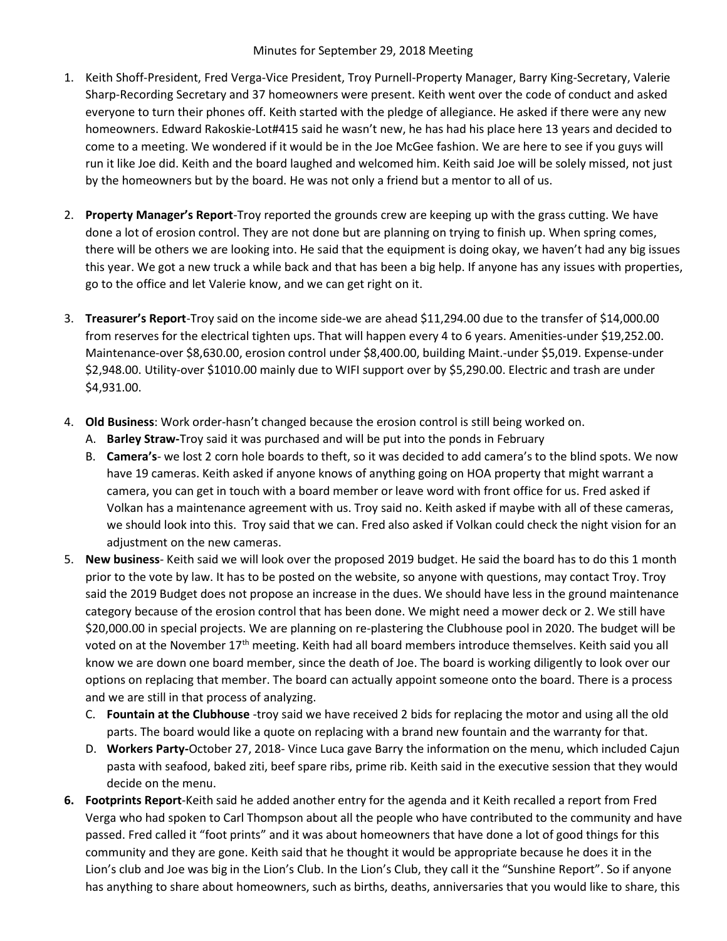## Minutes for September 29, 2018 Meeting

- 1. Keith Shoff-President, Fred Verga-Vice President, Troy Purnell-Property Manager, Barry King-Secretary, Valerie Sharp-Recording Secretary and 37 homeowners were present. Keith went over the code of conduct and asked everyone to turn their phones off. Keith started with the pledge of allegiance. He asked if there were any new homeowners. Edward Rakoskie-Lot#415 said he wasn't new, he has had his place here 13 years and decided to come to a meeting. We wondered if it would be in the Joe McGee fashion. We are here to see if you guys will run it like Joe did. Keith and the board laughed and welcomed him. Keith said Joe will be solely missed, not just by the homeowners but by the board. He was not only a friend but a mentor to all of us.
- 2. Property Manager's Report-Troy reported the grounds crew are keeping up with the grass cutting. We have done a lot of erosion control. They are not done but are planning on trying to finish up. When spring comes, there will be others we are looking into. He said that the equipment is doing okay, we haven't had any big issues this year. We got a new truck a while back and that has been a big help. If anyone has any issues with properties, go to the office and let Valerie know, and we can get right on it.
- 3. Treasurer's Report-Troy said on the income side-we are ahead \$11,294.00 due to the transfer of \$14,000.00 from reserves for the electrical tighten ups. That will happen every 4 to 6 years. Amenities-under \$19,252.00. Maintenance-over \$8,630.00, erosion control under \$8,400.00, building Maint.-under \$5,019. Expense-under \$2,948.00. Utility-over \$1010.00 mainly due to WIFI support over by \$5,290.00. Electric and trash are under \$4,931.00.
- 4. Old Business: Work order-hasn't changed because the erosion control is still being worked on.
	- A. Barley Straw-Troy said it was purchased and will be put into the ponds in February
	- B. Camera's- we lost 2 corn hole boards to theft, so it was decided to add camera's to the blind spots. We now have 19 cameras. Keith asked if anyone knows of anything going on HOA property that might warrant a camera, you can get in touch with a board member or leave word with front office for us. Fred asked if Volkan has a maintenance agreement with us. Troy said no. Keith asked if maybe with all of these cameras, we should look into this. Troy said that we can. Fred also asked if Volkan could check the night vision for an adjustment on the new cameras.
- 5. New business- Keith said we will look over the proposed 2019 budget. He said the board has to do this 1 month prior to the vote by law. It has to be posted on the website, so anyone with questions, may contact Troy. Troy said the 2019 Budget does not propose an increase in the dues. We should have less in the ground maintenance category because of the erosion control that has been done. We might need a mower deck or 2. We still have \$20,000.00 in special projects. We are planning on re-plastering the Clubhouse pool in 2020. The budget will be voted on at the November 17<sup>th</sup> meeting. Keith had all board members introduce themselves. Keith said you all know we are down one board member, since the death of Joe. The board is working diligently to look over our options on replacing that member. The board can actually appoint someone onto the board. There is a process and we are still in that process of analyzing.
	- C. Fountain at the Clubhouse -troy said we have received 2 bids for replacing the motor and using all the old parts. The board would like a quote on replacing with a brand new fountain and the warranty for that.
	- D. Workers Party-October 27, 2018- Vince Luca gave Barry the information on the menu, which included Cajun pasta with seafood, baked ziti, beef spare ribs, prime rib. Keith said in the executive session that they would decide on the menu.
- 6. Footprints Report-Keith said he added another entry for the agenda and it Keith recalled a report from Fred Verga who had spoken to Carl Thompson about all the people who have contributed to the community and have passed. Fred called it "foot prints" and it was about homeowners that have done a lot of good things for this community and they are gone. Keith said that he thought it would be appropriate because he does it in the Lion's club and Joe was big in the Lion's Club. In the Lion's Club, they call it the "Sunshine Report". So if anyone has anything to share about homeowners, such as births, deaths, anniversaries that you would like to share, this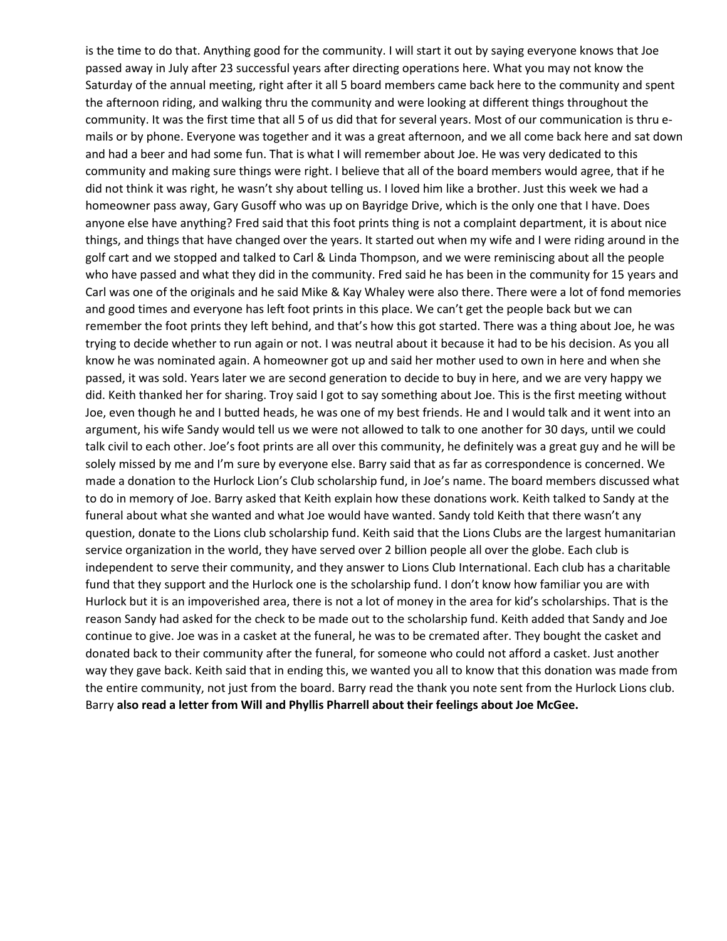is the time to do that. Anything good for the community. I will start it out by saying everyone knows that Joe passed away in July after 23 successful years after directing operations here. What you may not know the Saturday of the annual meeting, right after it all 5 board members came back here to the community and spent the afternoon riding, and walking thru the community and were looking at different things throughout the community. It was the first time that all 5 of us did that for several years. Most of our communication is thru emails or by phone. Everyone was together and it was a great afternoon, and we all come back here and sat down and had a beer and had some fun. That is what I will remember about Joe. He was very dedicated to this community and making sure things were right. I believe that all of the board members would agree, that if he did not think it was right, he wasn't shy about telling us. I loved him like a brother. Just this week we had a homeowner pass away, Gary Gusoff who was up on Bayridge Drive, which is the only one that I have. Does anyone else have anything? Fred said that this foot prints thing is not a complaint department, it is about nice things, and things that have changed over the years. It started out when my wife and I were riding around in the golf cart and we stopped and talked to Carl & Linda Thompson, and we were reminiscing about all the people who have passed and what they did in the community. Fred said he has been in the community for 15 years and Carl was one of the originals and he said Mike & Kay Whaley were also there. There were a lot of fond memories and good times and everyone has left foot prints in this place. We can't get the people back but we can remember the foot prints they left behind, and that's how this got started. There was a thing about Joe, he was trying to decide whether to run again or not. I was neutral about it because it had to be his decision. As you all know he was nominated again. A homeowner got up and said her mother used to own in here and when she passed, it was sold. Years later we are second generation to decide to buy in here, and we are very happy we did. Keith thanked her for sharing. Troy said I got to say something about Joe. This is the first meeting without Joe, even though he and I butted heads, he was one of my best friends. He and I would talk and it went into an argument, his wife Sandy would tell us we were not allowed to talk to one another for 30 days, until we could talk civil to each other. Joe's foot prints are all over this community, he definitely was a great guy and he will be solely missed by me and I'm sure by everyone else. Barry said that as far as correspondence is concerned. We made a donation to the Hurlock Lion's Club scholarship fund, in Joe's name. The board members discussed what to do in memory of Joe. Barry asked that Keith explain how these donations work. Keith talked to Sandy at the funeral about what she wanted and what Joe would have wanted. Sandy told Keith that there wasn't any question, donate to the Lions club scholarship fund. Keith said that the Lions Clubs are the largest humanitarian service organization in the world, they have served over 2 billion people all over the globe. Each club is independent to serve their community, and they answer to Lions Club International. Each club has a charitable fund that they support and the Hurlock one is the scholarship fund. I don't know how familiar you are with Hurlock but it is an impoverished area, there is not a lot of money in the area for kid's scholarships. That is the reason Sandy had asked for the check to be made out to the scholarship fund. Keith added that Sandy and Joe continue to give. Joe was in a casket at the funeral, he was to be cremated after. They bought the casket and donated back to their community after the funeral, for someone who could not afford a casket. Just another way they gave back. Keith said that in ending this, we wanted you all to know that this donation was made from the entire community, not just from the board. Barry read the thank you note sent from the Hurlock Lions club. Barry also read a letter from Will and Phyllis Pharrell about their feelings about Joe McGee.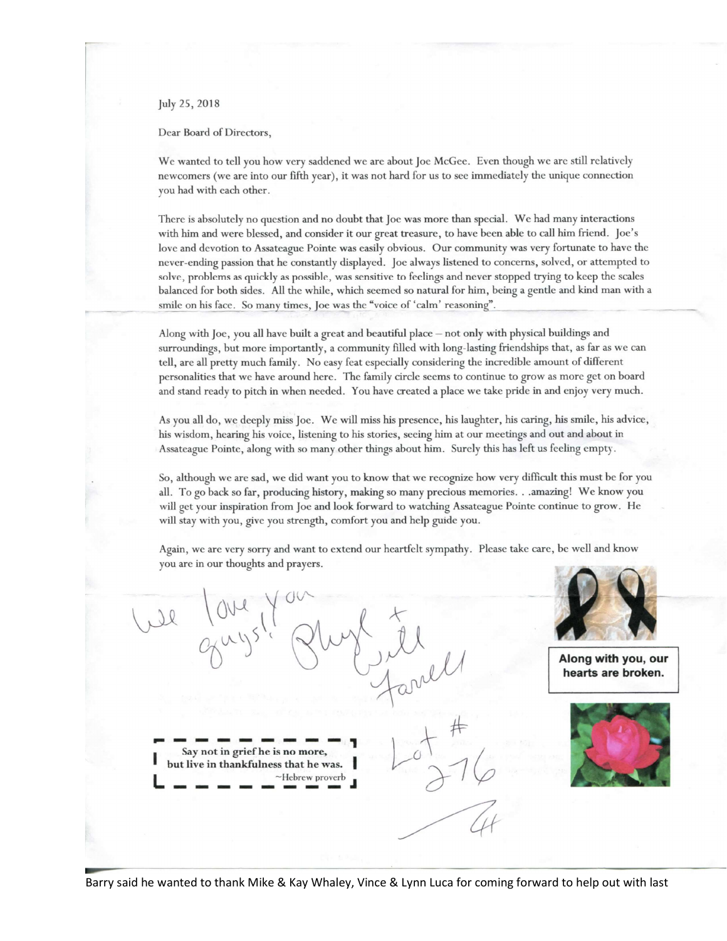July 25, 2018

Dear Board of Directors,

We wanted to tell you how very saddened we are about Joe McGee. Even though we are still relatively newcomers (we are into our fifth year), it was not hard for us to see immediately the unique connection you had with each other.

There is absolutely no question and no doubt that Joe was more than special. We had many interactions with him and were blessed, and consider it our great treasure, to have been able to call him friend. Joe's love and devotion to Assateague Pointe was easily obvious. Our community was very fortunate to have the never-ending passion that he constantly displayed. Joe always listened to concerns, solved, or attempted to solve, problems as quickly as possible, was sensitive to feelings and never stopped trying to keep the scales balanced for both sides. All the while, which seemed so natural for him, being a gentle and kind man with a smile on his face. So many times, Joe was the "voice of 'calm' reasoning".

Along with Joe, you all have built a great and beautiful place - not only with physical buildings and surroundings, but more importantly, a community filled with long-lasting friendships that, as far as we can tell, are all pretty much family. No easy feat especially considering the incredible amount of different personalities that we have around here. The family circle seems to continue to grow as more get on board and stand ready to pitch in when needed. You have created a place we take pride in and enjoy very much.

As you all do, we deeply miss Joe. We will miss his presence, his laughter, his caring, his smile, his advice, his wisdom, hearing his voice, listening to his stories, seeing him at our meetings and out and about in Assateague Pointe, along with so many other things about him. Surely this has left us feeling empty.

So, although we are sad, we did want you to know that we recognize how very difficult this must be for you all. To go back so far, producing history, making so many precious memories...amazing! We know you will get your inspiration from Joe and look forward to watching Assateague Pointe continue to grow. He will stay with you, give you strength, comfort you and help guide you.

Again, we are very sorry and want to extend our heartfelt sympathy. Please take care, be well and know you are in our thoughts and prayers.

Along with you, our hearts are broken. Say not in grief he is no more, but live in thankfulness that he was. Hebrew proverb

Barry said he wanted to thank Mike & Kay Whaley, Vince & Lynn Luca for coming forward to help out with last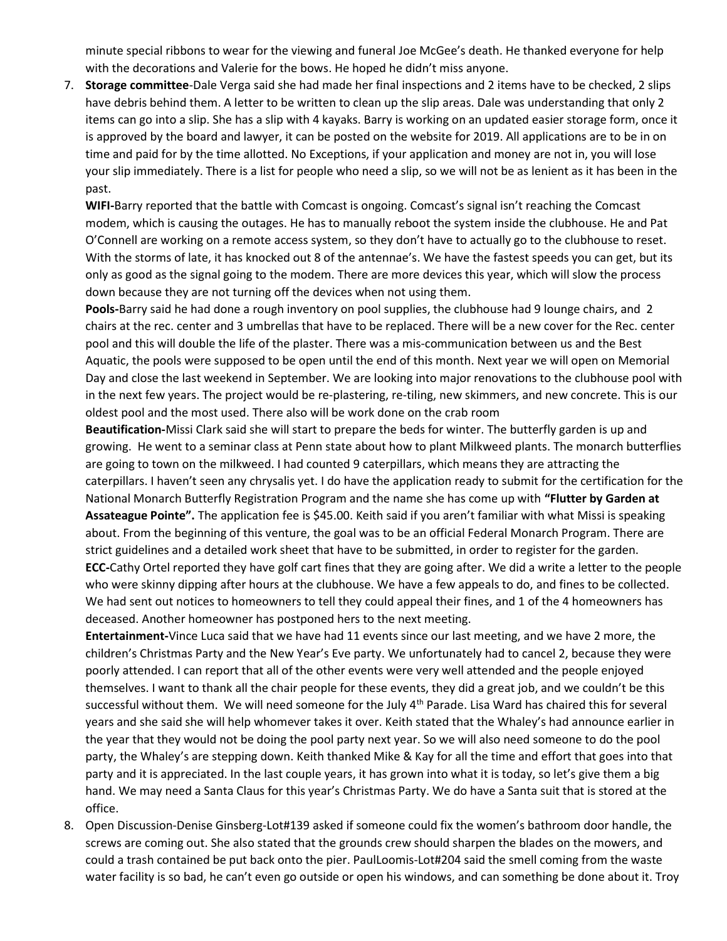minute special ribbons to wear for the viewing and funeral Joe McGee's death. He thanked everyone for help with the decorations and Valerie for the bows. He hoped he didn't miss anyone.

7. Storage committee-Dale Verga said she had made her final inspections and 2 items have to be checked, 2 slips have debris behind them. A letter to be written to clean up the slip areas. Dale was understanding that only 2 items can go into a slip. She has a slip with 4 kayaks. Barry is working on an updated easier storage form, once it is approved by the board and lawyer, it can be posted on the website for 2019. All applications are to be in on time and paid for by the time allotted. No Exceptions, if your application and money are not in, you will lose your slip immediately. There is a list for people who need a slip, so we will not be as lenient as it has been in the past.

WIFI-Barry reported that the battle with Comcast is ongoing. Comcast's signal isn't reaching the Comcast modem, which is causing the outages. He has to manually reboot the system inside the clubhouse. He and Pat O'Connell are working on a remote access system, so they don't have to actually go to the clubhouse to reset. With the storms of late, it has knocked out 8 of the antennae's. We have the fastest speeds you can get, but its only as good as the signal going to the modem. There are more devices this year, which will slow the process down because they are not turning off the devices when not using them.

Pools-Barry said he had done a rough inventory on pool supplies, the clubhouse had 9 lounge chairs, and 2 chairs at the rec. center and 3 umbrellas that have to be replaced. There will be a new cover for the Rec. center pool and this will double the life of the plaster. There was a mis-communication between us and the Best Aquatic, the pools were supposed to be open until the end of this month. Next year we will open on Memorial Day and close the last weekend in September. We are looking into major renovations to the clubhouse pool with in the next few years. The project would be re-plastering, re-tiling, new skimmers, and new concrete. This is our oldest pool and the most used. There also will be work done on the crab room

Beautification-Missi Clark said she will start to prepare the beds for winter. The butterfly garden is up and growing. He went to a seminar class at Penn state about how to plant Milkweed plants. The monarch butterflies are going to town on the milkweed. I had counted 9 caterpillars, which means they are attracting the caterpillars. I haven't seen any chrysalis yet. I do have the application ready to submit for the certification for the National Monarch Butterfly Registration Program and the name she has come up with "Flutter by Garden at Assateague Pointe". The application fee is \$45.00. Keith said if you aren't familiar with what Missi is speaking about. From the beginning of this venture, the goal was to be an official Federal Monarch Program. There are strict guidelines and a detailed work sheet that have to be submitted, in order to register for the garden. ECC-Cathy Ortel reported they have golf cart fines that they are going after. We did a write a letter to the people who were skinny dipping after hours at the clubhouse. We have a few appeals to do, and fines to be collected. We had sent out notices to homeowners to tell they could appeal their fines, and 1 of the 4 homeowners has deceased. Another homeowner has postponed hers to the next meeting.

Entertainment-Vince Luca said that we have had 11 events since our last meeting, and we have 2 more, the children's Christmas Party and the New Year's Eve party. We unfortunately had to cancel 2, because they were poorly attended. I can report that all of the other events were very well attended and the people enjoyed themselves. I want to thank all the chair people for these events, they did a great job, and we couldn't be this successful without them. We will need someone for the July 4<sup>th</sup> Parade. Lisa Ward has chaired this for several years and she said she will help whomever takes it over. Keith stated that the Whaley's had announce earlier in the year that they would not be doing the pool party next year. So we will also need someone to do the pool party, the Whaley's are stepping down. Keith thanked Mike & Kay for all the time and effort that goes into that party and it is appreciated. In the last couple years, it has grown into what it is today, so let's give them a big hand. We may need a Santa Claus for this year's Christmas Party. We do have a Santa suit that is stored at the office.

8. Open Discussion-Denise Ginsberg-Lot#139 asked if someone could fix the women's bathroom door handle, the screws are coming out. She also stated that the grounds crew should sharpen the blades on the mowers, and could a trash contained be put back onto the pier. PaulLoomis-Lot#204 said the smell coming from the waste water facility is so bad, he can't even go outside or open his windows, and can something be done about it. Troy